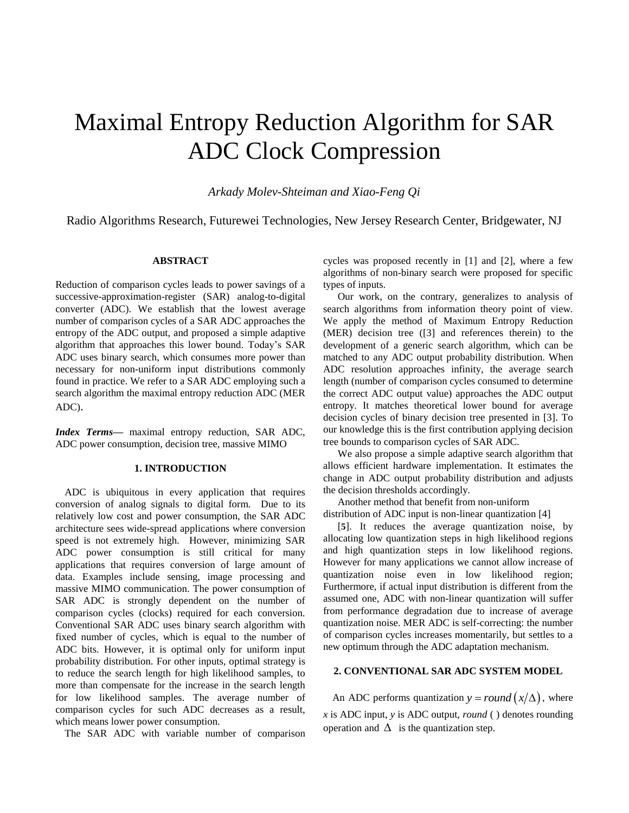# Maximal Entropy Reduction Algorithm for SAR ADC Clock Compression

*Arkady Molev-Shteiman and Xiao-Feng Qi*

Radio Algorithms Research, Futurewei Technologies, New Jersey Research Center, Bridgewater, NJ

# **ABSTRACT**

Reduction of comparison cycles leads to power savings of a successive-approximation-register (SAR) analog-to-digital converter (ADC). We establish that the lowest average number of comparison cycles of a SAR ADC approaches the entropy of the ADC output, and proposed a simple adaptive algorithm that approaches this lower bound. Today's SAR ADC uses binary search, which consumes more power than necessary for non-uniform input distributions commonly found in practice. We refer to a SAR ADC employing such a search algorithm the maximal entropy reduction ADC (MER ADC).

*Index Terms—* maximal entropy reduction, SAR ADC, ADC power consumption, decision tree, massive MIMO

## **1. INTRODUCTION**

ADC is ubiquitous in every application that requires conversion of analog signals to digital form. Due to its relatively low cost and power consumption, the SAR ADC architecture sees wide-spread applications where conversion speed is not extremely high. However, minimizing SAR ADC power consumption is still critical for many applications that requires conversion of large amount of data. Examples include sensing, image processing and massive MIMO communication. The power consumption of SAR ADC is strongly dependent on the number of comparison cycles (clocks) required for each conversion. Conventional SAR ADC uses binary search algorithm with fixed number of cycles, which is equal to the number of ADC bits. However, it is optimal only for uniform input probability distribution. For other inputs, optimal strategy is to reduce the search length for high likelihood samples, to more than compensate for the increase in the search length for low likelihood samples. The average number of comparison cycles for such ADC decreases as a result, which means lower power consumption.

The SAR ADC with variable number of comparison

cycles was proposed recently in [\[1\]](#page-4-0) and [\[2\]](#page-4-1), where a few algorithms of non-binary search were proposed for specific types of inputs.

Our work, on the contrary, generalizes to analysis of search algorithms from information theory point of view. We apply the method of Maximum Entropy Reduction (MER) decision tree [\(\[3\]](#page-4-2) and references therein) to the development of a generic search algorithm, which can be matched to any ADC output probability distribution. When ADC resolution approaches infinity, the average search length (number of comparison cycles consumed to determine the correct ADC output value) approaches the ADC output entropy. It matches theoretical lower bound for average decision cycles of binary decision tree presented in [\[3\]](#page-4-2). To our knowledge this is the first contribution applying decision tree bounds to comparison cycles of SAR ADC.

We also propose a simple adaptive search algorithm that allows efficient hardware implementation. It estimates the change in ADC output probability distribution and adjusts the decision thresholds accordingly.

Another method that benefit from non-uniform distribution of ADC input is non-linear quantization [\[4](#page-4-3)[\]](#page-4-4)

[**[5](#page-4-4)**]. It reduces the average quantization noise, by allocating low quantization steps in high likelihood regions and high quantization steps in low likelihood regions. However for many applications we cannot allow increase of quantization noise even in low likelihood region; Furthermore, if actual input distribution is different from the assumed one, ADC with non-linear quantization will suffer from performance degradation due to increase of average quantization noise. MER ADC is self-correcting: the number of comparison cycles increases momentarily, but settles to a new optimum through the ADC adaptation mechanism.

# **2. CONVENTIONAL SAR ADC SYSTEM MODEL**

An ADC performs quantization  $y = round(x/\Delta)$ , where *x* is ADC input, *y* is ADC output, *round* ( ) denotes rounding operation and  $\Delta$  is the quantization step.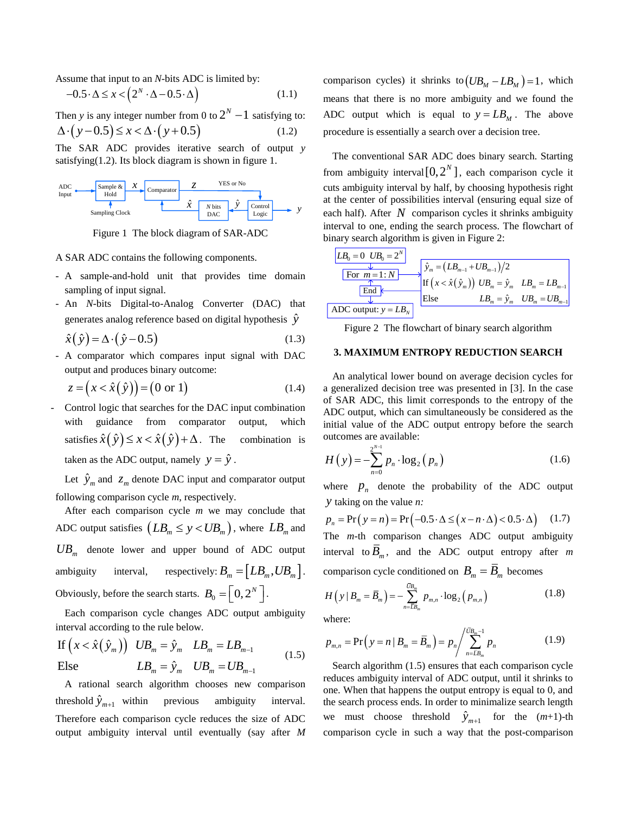Assume that input to an *N*-bits ADC is limited by:

$$
-0.5 \cdot \Delta \le x < \left(2^N \cdot \Delta - 0.5 \cdot \Delta\right) \tag{1.1}
$$

Then *y* is any integer number from 0 to  $2^N - 1$  satisfying to:  $\Delta (y-0.5) \leq x < \Delta (y+0.5)$ (1.2)

The SAR ADC provides iterative search of output *y* satisfying(1.2). Its block diagram is shown in figure 1.





A SAR ADC contains the following components.

- A sample-and-hold unit that provides time domain sampling of input signal.
- An *N*-bits Digital-to-Analog Converter (DAC) that generates analog reference based on digital hypothesis  $\hat{y}$

$$
\hat{x}(\hat{y}) = \Delta \cdot (\hat{y} - 0.5) \tag{1.3}
$$

- A comparator which compares input signal with DAC output and produces binary outcome:

$$
z = (x < \hat{x}(\hat{y})) = (0 \text{ or } 1)
$$
\n
$$
(1.4)
$$

Control logic that searches for the DAC input combination with guidance from comparator output, which satisfies  $\hat{x}(\hat{y}) \leq x < \hat{x}(\hat{y}) + \Delta$ combination is taken as the ADC output, namely  $y = \hat{y}$ .

Let  $\hat{y}_m$  and  $z_m$  denote DAC input and comparator output following comparison cycle *m*, respectively.

After each comparison cycle *m* we may conclude that ADC output satisfies  $(LB_m \leq y \leq UB_m)$ , where  $LB_m$  and *UB<sup>m</sup>* denote lower and upper bound of ADC output ambiguity interval, respectively:  $B_m = [LB_m, UB_m].$ Obviously, before the search starts.  $B_0 = \left[0, 2^N\right]$ .

Each comparison cycle changes ADC output ambiguity interval according to the rule below.

If 
$$
(x < \hat{x}(\hat{y}_m))
$$
  $UB_m = \hat{y}_m$   $LB_m = LB_{m-1}$   
\nElse  $LB_m = \hat{y}_m$   $UB_m = UB_{m-1}$  (1.5)

A rational search algorithm chooses new comparison threshold  $\hat{y}_{m+1}$ previous ambiguity interval. Therefore each comparison cycle reduces the size of ADC output ambiguity interval until eventually (say after *M*

comparison cycles) it shrinks to  $(UB_M - LB_M) = 1$ , which means that there is no more ambiguity and we found the ADC output which is equal to  $y = LB_M$ . The above procedure is essentially a search over a decision tree.

Sampling Clock  $\frac{1}{\sqrt{2}} \left| \frac{y}{\sqrt{2}} \right| \rightarrow y$  control  $\rightarrow$  *y* each half). After *N* comparison cycles it shrinks ambiguity  $\frac{z}{y}$  *z z z z z z z z z z z z z z z z z z z z z z z z z z z z z z z z z z z z* The conventional SAR ADC does binary search. Starting from ambiguity interval  $[0, 2^N]$ , each comparison cycle it cuts ambiguity interval by half, by choosing hypothesis right at the center of possibilities interval (ensuring equal size of interval to one, ending the search process. The flowchart of binary search algorithm is given in [Figure 2:](#page-1-0)

| $LB_0 = 0$             | $UB_0 = 2^N$                                                       |                                      |
|------------------------|--------------------------------------------------------------------|--------------------------------------|
| For $m=1:N$            | $\hat{y}_m = (LB_{m-1} + UB_{m-1})/2$                              |                                      |
| For $m=1:N$            | If $(x < \hat{x}(\hat{y}_m))$ $UB_m = \hat{y}_m$ $LB_m = LB_{m-1}$ |                                      |
| End                    | Else                                                               | $LB_m = \hat{y}_m$ $UB_m = UB_{m-1}$ |
| ADC output: $y = LB_N$ | Else                                                               | $LB_m = \hat{y}_m$ $UB_m = UB_{m-1}$ |

<span id="page-1-0"></span>Figure 2 The flowchart of binary search algorithm

## **3. MAXIMUM ENTROPY REDUCTION SEARCH**

An analytical lower bound on average decision cycles for a generalized decision tree was presented in [\[3\]](#page-4-2). In the case of SAR ADC, this limit corresponds to the entropy of the ADC output, which can simultaneously be considered as the initial value of the ADC output entropy before the search outcomes are available:

$$
H(y) = -\sum_{n=0}^{2^{N-1}} p_n \cdot \log_2(p_n)
$$
 (1.6)

where  $p_n$  denote the probability of the ADC output *y* taking on the value *n:* 

$$
p_n = \Pr(y = n) = \Pr(-0.5 \cdot \Delta \le (x - n \cdot \Delta) < 0.5 \cdot \Delta) \tag{1.7}
$$

The *m-*th comparison changes ADC output ambiguity interval to  $\overline{B}_m$ , and the ADC output entropy after *m* comparison cycle conditioned on  $B_m = B_m$  becomes

$$
H(y | B_m = \overline{B}_m) = -\sum_{n=\overline{B}_m}^{\overline{B}_m} p_{m,n} \cdot \log_2 (p_{m,n})
$$
(1.8)

where:

$$
p_{m,n} = \Pr\left(y = n \mid B_m = \overline{B}_m\right) = p_n / \sum_{n = \overline{L}B_m}^{\overline{U}B_{m} - 1} p_n \tag{1.9}
$$

Search algorithm (1.5) ensures that each comparison cycle reduces ambiguity interval of ADC output, until it shrinks to one. When that happens the output entropy is equal to 0, and the search process ends. In order to minimalize search length we must choose threshold  $\hat{y}_{m+1}$  for the  $(m+1)$ -th comparison cycle in such a way that the post-comparison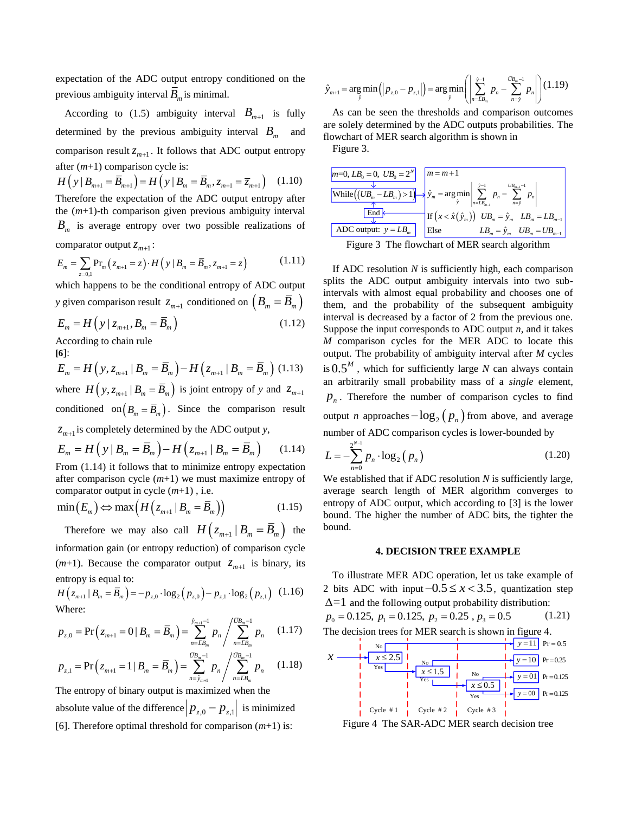expectation of the ADC output entropy conditioned on the previous ambiguity interval *B m* is minimal.

According to (1.5) ambiguity interval  $B_{m+1}$  is fully determined by the previous ambiguity interval *B m* and comparison result  $z_{m+1}$ . It follows that ADC output entropy after (*m*+1) comparison cycle is:

 $H(y | B_{m+1} = \overline{B}_{m+1}) = H(y | B_m = \overline{B}_m, z_{m+1} = \overline{z}_{m+1})$  (1.10) Therefore the expectation of the ADC output entropy after the (*m*+1)-th comparison given previous ambiguity interval *B m* is average entropy over two possible realizations of comparator output  $z_{m+1}$ :

$$
E_m = \sum_{z=0,1} \Pr_m (z_{m+1} = z) \cdot H (y | B_m = \overline{B}_m, z_{m+1} = z)
$$
 (1.11)

which happens to be the conditional entropy of ADC output *y* given comparison result  $z_{m+1}$  conditioned on  $(B_m = \overline{B}_m)$ 

$$
E_m = H\left(y \mid z_{m+1}, B_m = \overline{B}_m\right)
$$
\nAccording to chain rule.

\n(1.12)

According to chain rule

**[\[6](#page-4-5)**]:  $E_m = H(y, z_{m+1} | B_m = \overline{B}_m) - H(z_{m+1} | B_m = \overline{B}_m)$  (1.13) where  $H(y, z_{m+1} | B_m = \overline{B}_m)$  is joint entropy of *y* and  $z_{m+1}$ conditioned on  $(B_m = \overline{B}_m)$ . Since the comparison result  $z_{m+1}$  is completely determined by the ADC output *y*,

$$
E_m = H\left(\left|y\right|B_m = \overline{B}_m\right) - H\left(z_{m+1} \mid B_m = \overline{B}_m\right) \tag{1.14}
$$

From (1.14) it follows that to minimize entropy expectation after comparison cycle (*m*+1) we must maximize entropy of comparator output in cycle (*m*+1) , i.e.

$$
\min(E_m) \Leftrightarrow \max\left(H\left(z_{m+1} \mid B_m = \overline{B}_m\right)\right) \tag{1.15}
$$

Therefore we may also call  $H\left(z_{m+1} | B_m = \overline{B}_m\right)$  the information gain (or entropy reduction) of comparison cycle  $(m+1)$ . Because the comparator output  $z_{m+1}$  is binary, its entropy is equal to:

$$
H(z_{m+1} | B_m = \overline{B}_m) = -p_{z,0} \cdot \log_2 (p_{z,0}) - p_{z,1} \cdot \log_2 (p_{z,1}) \quad (1.16)
$$
  
Where:

$$
p_{z,0} = \Pr\left(z_{m+1} = 0 \mid B_m = \overline{B}_m\right) = \sum_{n=\overline{L}B_m}^{\widehat{y}_{m+1}-1} p_n / \sum_{n=\overline{L}B_m}^{\widehat{U}B_m-1} p_n \quad (1.17)
$$

$$
p_{z,1} = \Pr\left(z_{m+1} = 1 \mid B_m = \overline{B}_m\right) = \sum_{n=\hat{y}_{m+1}}^{\overline{UB}_m - 1} p_n / \sum_{n=\overline{LB}_m}^{\overline{UB}_m - 1} p_n \qquad (1.18)
$$

The entropy of binary output is maximized when the absolute value of the difference  $|p_{z,0} - p_{z,1}|$  is minimized [\[6\]](#page-4-5). Therefore optimal threshold for comparison (*m*+1) is:

$$
\hat{y}_{m+1} = \argmin_{\hat{y}} (|p_{z,0} - p_{z,1}|) = \argmin_{\hat{y}} \left( \sum_{n=LB_m}^{\hat{y}-1} p_n - \sum_{n=\hat{y}}^{\bar{U}B_m-1} p_n \right) (1.19)
$$

As can be seen the thresholds and comparison outcomes are solely determined by the ADC outputs probabilities. The flowchart of MER search algorithm is shown i[n](#page-2-0)

[Figure](#page-2-0) 3.

| $ m=0, LB_0 = 0, UB_0 = 2^N$ $ m=m+1$                                                                                                                                                                                   |      |                                                                              |
|-------------------------------------------------------------------------------------------------------------------------------------------------------------------------------------------------------------------------|------|------------------------------------------------------------------------------|
| $\underbrace{\boxed{\text{While}\left((UB_m - LB_m) > 1\right)} }_{\text{$\uparrow$}} \Rightarrow \hat{y}_m = \arg \min_{\hat{y}} \left  \sum_{n=LB_{m-1}}^{\hat{y}-1} p_n - \sum_{n=\hat{y}}^{UB_{m-1}-1} p_n \right $ |      |                                                                              |
| End $\vert$                                                                                                                                                                                                             |      | $\exists$ If $(x < \hat{x}(\hat{y}_m))$ $UB_m = \hat{y}_m$ $LB_m = LB_{m-1}$ |
| ADC output: $y = LB_m$                                                                                                                                                                                                  | Else | $LB_{m}=\hat{y}_{m}$ $\quad UB_{m}=UB_{m-1}$                                 |

<span id="page-2-0"></span>Figure 3 The flowchart of MER search algorithm

If ADC resolution *N* is sufficiently high, each comparison splits the ADC output ambiguity intervals into two subintervals with almost equal probability and chooses one of them, and the probability of the subsequent ambiguity interval is decreased by a factor of 2 from the previous one. Suppose the input corresponds to ADC output *n*, and it takes *M* comparison cycles for the MER ADC to locate this output. The probability of ambiguity interval after *M* cycles is 0.5*<sup>M</sup>* , which for sufficiently large *N* can always contain an arbitrarily small probability mass of a *single* element,  $p_n$ . Therefore the number of comparison cycles to find output *n* approaches  $-\log_2(p_n)$  from above, and average number of ADC comparison cycles is lower-bounded by

$$
L = -\sum_{n=0}^{2^{N-1}} p_n \cdot \log_2(p_n)
$$
 (1.20)

We established that if ADC resolution *N* is sufficiently large, average search length of MER algorithm converges to entropy of ADC output, which according to [\[3\]](#page-4-2) is the lower bound. The higher the number of ADC bits, the tighter the bound.

### **4. DECISION TREE EXAMPLE**

To illustrate MER ADC operation, let us take example of 2 bits ADC with input  $-0.5 \le x < 3.5$ , quantization step  $\Delta = 1$  and the following output probability distribution:

$$
p_0 = 0.125
$$
,  $p_1 = 0.125$ ,  $p_2 = 0.25$ ,  $p_3 = 0.5$  (1.21)  
The decision trees for MER search is shown in figure 4.



Figure 4 The SAR-ADC MER search decision tree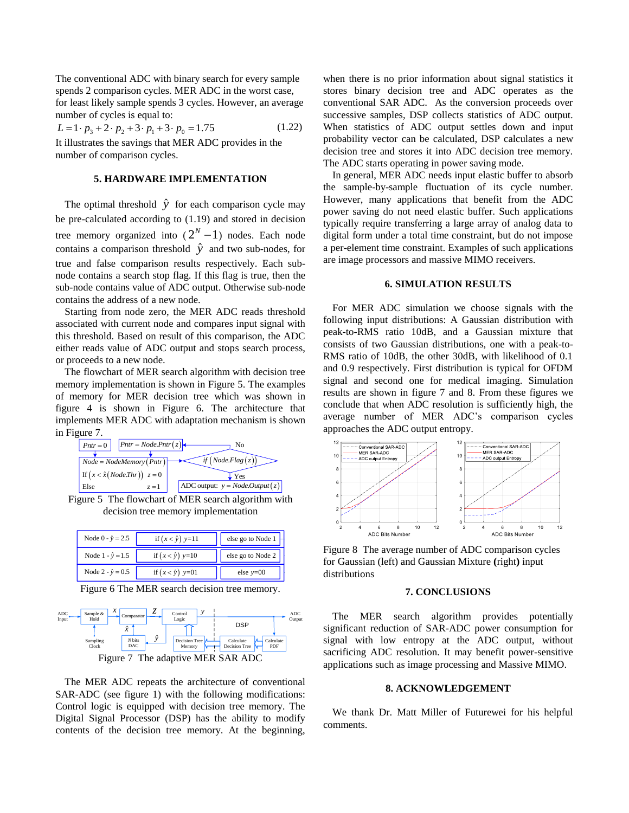The conventional ADC with binary search for every sample spends 2 comparison cycles. MER ADC in the worst case, for least likely sample spends 3 cycles. However, an average number of cycles is equal to:

 $L = 1 \cdot p_3 + 2 \cdot p_2 + 3 \cdot p_1 + 3 \cdot p_0 = 1.75$  (1.22) It illustrates the savings that MER ADC provides in the number of comparison cycles.

#### **5. HARDWARE IMPLEMENTATION**

The optimal threshold  $\hat{y}$  for each comparison cycle may be pre-calculated according to (1.19) and stored in decision tree memory organized into  $(2<sup>N</sup> - 1)$  nodes. Each node contains a comparison threshold  $\hat{y}$  and two sub-nodes, for true and false comparison results respectively. Each subnode contains a search stop flag. If this flag is true, then the sub-node contains value of ADC output. Otherwise sub-node contains the address of a new node.

Starting from node zero, the MER ADC reads threshold associated with current node and compares input signal with this threshold. Based on result of this comparison, the ADC either reads value of ADC output and stops search process, or proceeds to a new node.

The flowchart of MER search algorithm with decision tree memory implementation is shown in [Figure 5.](#page-3-0) The examples of memory for MER decision tree which was shown in figure 4 is shown in [Figure 6.](#page-3-1) The architecture that implements MER ADC with adaptation mechanism is shown in [Figure 7.](#page-3-2)



<span id="page-3-0"></span>Figure 5 The flowchart of MER search algorithm with decision tree memory implementation

| Node $0 - \hat{y} = 2.5$ | if $(x < \hat{y})$ y=11 | else go to Node 1 |
|--------------------------|-------------------------|-------------------|
| Node $1 - \hat{y} = 1.5$ | if $(x < \hat{y})$ y=10 | else go to Node 2 |
| Node $2 - \hat{y} = 0.5$ | if $(x < \hat{y})$ y=01 | else $v=00$       |

Figure 6 The MER search decision tree memory.

<span id="page-3-1"></span>

<span id="page-3-2"></span>The MER ADC repeats the architecture of conventional SAR-ADC (see figure 1) with the following modifications: Control logic is equipped with decision tree memory. The Digital Signal Processor (DSP) has the ability to modify contents of the decision tree memory. At the beginning, when there is no prior information about signal statistics it stores binary decision tree and ADC operates as the conventional SAR ADC. As the conversion proceeds over successive samples, DSP collects statistics of ADC output. When statistics of ADC output settles down and input probability vector can be calculated, DSP calculates a new decision tree and stores it into ADC decision tree memory. The ADC starts operating in power saving mode.

In general, MER ADC needs input elastic buffer to absorb the sample-by-sample fluctuation of its cycle number. However, many applications that benefit from the ADC power saving do not need elastic buffer. Such applications typically require transferring a large array of analog data to digital form under a total time constraint, but do not impose a per-element time constraint. Examples of such applications are image processors and massive MIMO receivers.

#### **6. SIMULATION RESULTS**

For MER ADC simulation we choose signals with the following input distributions: A Gaussian distribution with peak-to-RMS ratio 10dB, and a Gaussian mixture that consists of two Gaussian distributions, one with a peak-to-RMS ratio of 10dB, the other 30dB, with likelihood of 0.1 and 0.9 respectively. First distribution is typical for OFDM signal and second one for medical imaging. Simulation results are shown in figure 7 and 8. From these figures we conclude that when ADC resolution is sufficiently high, the average number of MER ADC's comparison cycles approaches the ADC output entropy.



Figure 8 The average number of ADC comparison cycles for Gaussian (left) and Gaussian Mixture **(**right**)** input distributions

#### **7. CONCLUSIONS**

 $\frac{y}{y}$   $\rightarrow$   $\frac{\text{ADC}}{\text{Output}}$  The MER search algorithm provides potentially significant reduction of SAR-ADC power consumption for signal with low entropy at the ADC output, without sacrificing ADC resolution. It may benefit power-sensitive applications such as image processing and Massive MIMO.

## **8. ACKNOWLEDGEMENT**

We thank Dr. Matt Miller of Futurewei for his helpful comments.